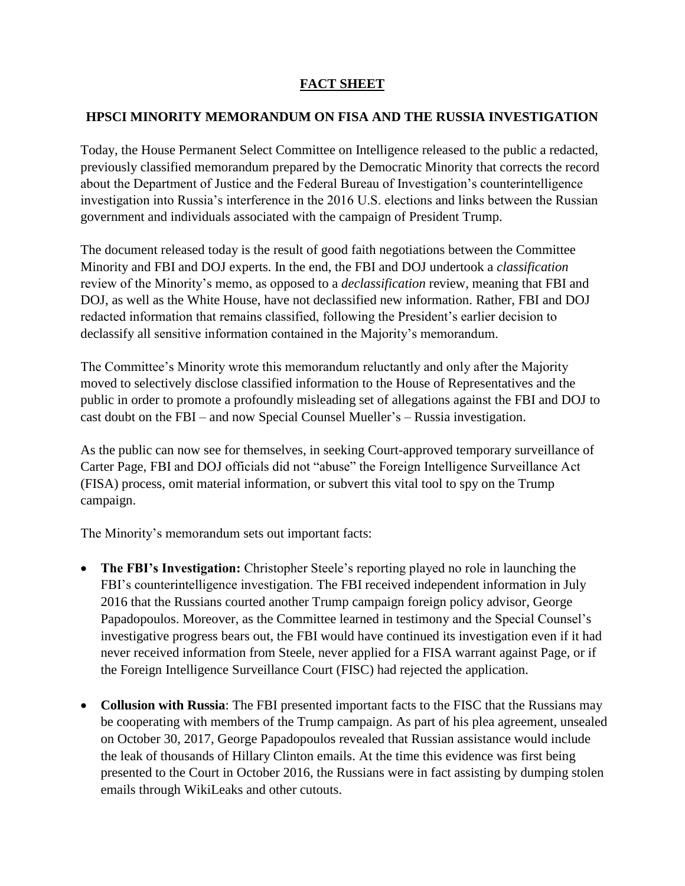# **FACT SHEET**

#### **HPSCI MINORITY MEMORANDUM ON FISA AND THE RUSSIA INVESTIGATION**

Today, the House Permanent Select Committee on Intelligence released to the public a redacted, previously classified memorandum prepared by the Democratic Minority that corrects the record about the Department of Justice and the Federal Bureau of Investigation's counterintelligence investigation into Russia's interference in the 2016 U.S. elections and links between the Russian government and individuals associated with the campaign of President Trump.

The document released today is the result of good faith negotiations between the Committee Minority and FBI and DOJ experts. In the end, the FBI and DOJ undertook a *classification* review of the Minority's memo, as opposed to a *declassification* review, meaning that FBI and DOJ, as well as the White House, have not declassified new information. Rather, FBI and DOJ redacted information that remains classified, following the President's earlier decision to declassify all sensitive information contained in the Majority's memorandum.

The Committee's Minority wrote this memorandum reluctantly and only after the Majority moved to selectively disclose classified information to the House of Representatives and the public in order to promote a profoundly misleading set of allegations against the FBI and DOJ to cast doubt on the FBI – and now Special Counsel Mueller's – Russia investigation.

As the public can now see for themselves, in seeking Court-approved temporary surveillance of Carter Page, FBI and DOJ officials did not "abuse" the Foreign Intelligence Surveillance Act (FISA) process, omit material information, or subvert this vital tool to spy on the Trump campaign.

The Minority's memorandum sets out important facts:

- **The FBI's Investigation:** Christopher Steele's reporting played no role in launching the FBI's counterintelligence investigation. The FBI received independent information in July 2016 that the Russians courted another Trump campaign foreign policy advisor, George Papadopoulos. Moreover, as the Committee learned in testimony and the Special Counsel's investigative progress bears out, the FBI would have continued its investigation even if it had never received information from Steele, never applied for a FISA warrant against Page, or if the Foreign Intelligence Surveillance Court (FISC) had rejected the application.
- **Collusion with Russia**: The FBI presented important facts to the FISC that the Russians may be cooperating with members of the Trump campaign. As part of his plea agreement, unsealed on October 30, 2017, George Papadopoulos revealed that Russian assistance would include the leak of thousands of Hillary Clinton emails. At the time this evidence was first being presented to the Court in October 2016, the Russians were in fact assisting by dumping stolen emails through WikiLeaks and other cutouts.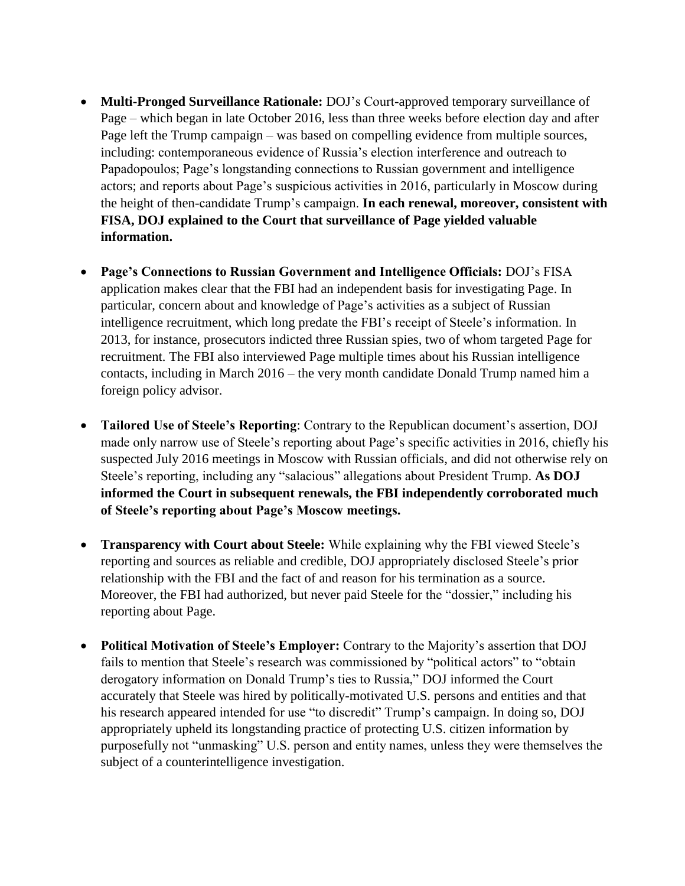- **Multi-Pronged Surveillance Rationale:** DOJ's Court-approved temporary surveillance of Page – which began in late October 2016, less than three weeks before election day and after Page left the Trump campaign – was based on compelling evidence from multiple sources, including: contemporaneous evidence of Russia's election interference and outreach to Papadopoulos; Page's longstanding connections to Russian government and intelligence actors; and reports about Page's suspicious activities in 2016, particularly in Moscow during the height of then-candidate Trump's campaign. **In each renewal, moreover, consistent with FISA, DOJ explained to the Court that surveillance of Page yielded valuable information.**
- **Page's Connections to Russian Government and Intelligence Officials:** DOJ's FISA application makes clear that the FBI had an independent basis for investigating Page. In particular, concern about and knowledge of Page's activities as a subject of Russian intelligence recruitment, which long predate the FBI's receipt of Steele's information. In 2013, for instance, prosecutors indicted three Russian spies, two of whom targeted Page for recruitment. The FBI also interviewed Page multiple times about his Russian intelligence contacts, including in March 2016 – the very month candidate Donald Trump named him a foreign policy advisor.
- **Tailored Use of Steele's Reporting**: Contrary to the Republican document's assertion, DOJ made only narrow use of Steele's reporting about Page's specific activities in 2016, chiefly his suspected July 2016 meetings in Moscow with Russian officials, and did not otherwise rely on Steele's reporting, including any "salacious" allegations about President Trump. **As DOJ informed the Court in subsequent renewals, the FBI independently corroborated much of Steele's reporting about Page's Moscow meetings.**
- **Transparency with Court about Steele:** While explaining why the FBI viewed Steele's reporting and sources as reliable and credible, DOJ appropriately disclosed Steele's prior relationship with the FBI and the fact of and reason for his termination as a source. Moreover, the FBI had authorized, but never paid Steele for the "dossier," including his reporting about Page.
- **Political Motivation of Steele's Employer:** Contrary to the Majority's assertion that DOJ fails to mention that Steele's research was commissioned by "political actors" to "obtain derogatory information on Donald Trump's ties to Russia," DOJ informed the Court accurately that Steele was hired by politically-motivated U.S. persons and entities and that his research appeared intended for use "to discredit" Trump's campaign. In doing so, DOJ appropriately upheld its longstanding practice of protecting U.S. citizen information by purposefully not "unmasking" U.S. person and entity names, unless they were themselves the subject of a counterintelligence investigation.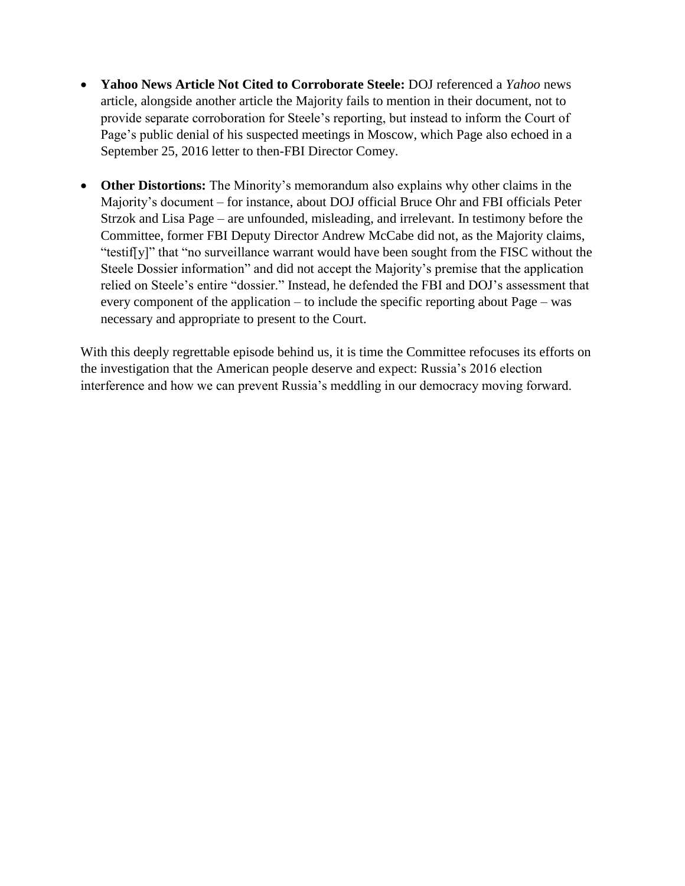- **Yahoo News Article Not Cited to Corroborate Steele:** DOJ referenced a *Yahoo* news article, alongside another article the Majority fails to mention in their document, not to provide separate corroboration for Steele's reporting, but instead to inform the Court of Page's public denial of his suspected meetings in Moscow, which Page also echoed in a September 25, 2016 letter to then-FBI Director Comey.
- **Other Distortions:** The Minority's memorandum also explains why other claims in the Majority's document – for instance, about DOJ official Bruce Ohr and FBI officials Peter Strzok and Lisa Page – are unfounded, misleading, and irrelevant. In testimony before the Committee, former FBI Deputy Director Andrew McCabe did not, as the Majority claims, "testif[y]" that "no surveillance warrant would have been sought from the FISC without the Steele Dossier information" and did not accept the Majority's premise that the application relied on Steele's entire "dossier." Instead, he defended the FBI and DOJ's assessment that every component of the application – to include the specific reporting about Page – was necessary and appropriate to present to the Court.

With this deeply regrettable episode behind us, it is time the Committee refocuses its efforts on the investigation that the American people deserve and expect: Russia's 2016 election interference and how we can prevent Russia's meddling in our democracy moving forward.